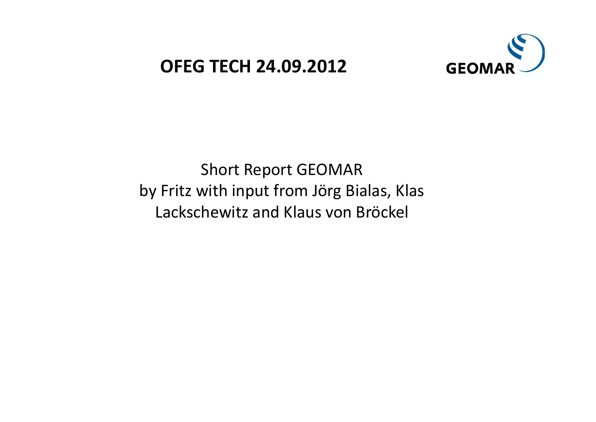## **OFEG TECH 24 09 2012 .09.2012**



Short Report GEOMAR by Fritz with input from Jörg Bialas, Klas Lackschewitz and Klaus von Bröckel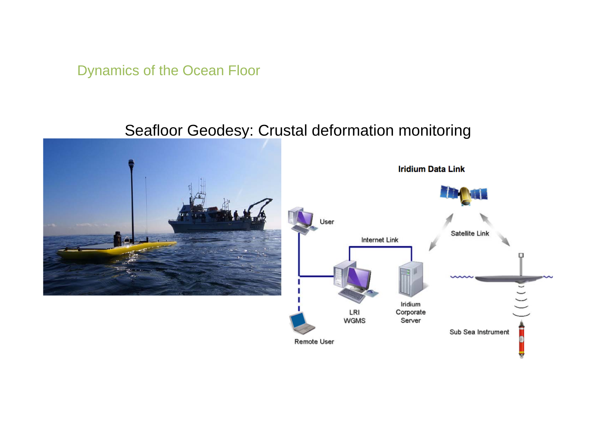Dynamics of the Ocean Floor

#### Seafloor Geodesy: Crustal deformation monitoring

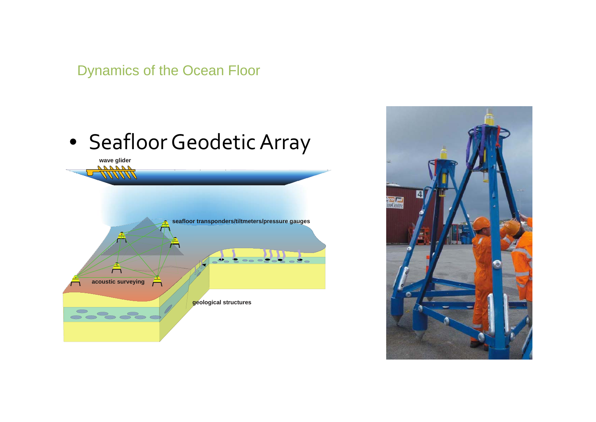Dynamics of the Ocean Floor

# • Seafloor Geodetic Array



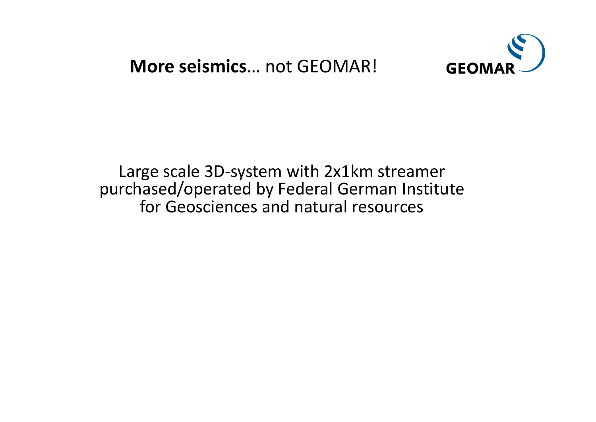**More seismics**… not GEOMAR!



Large scale 3D‐system with 2x1km streamer purchased/operated by Federal German Institute for Geosciences and natural resources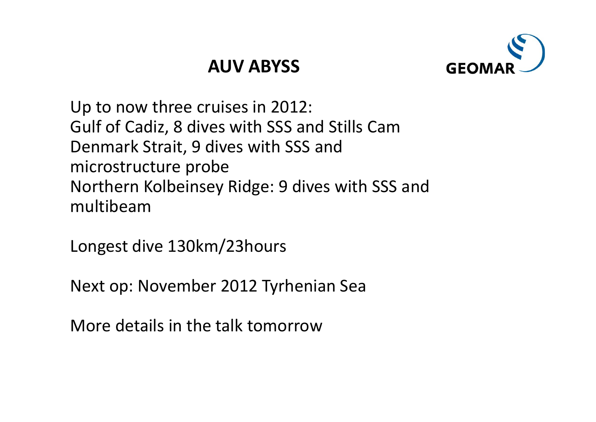# **AUV ABYSS**



Up to now three cruises in 2012: Gulf of Cadiz, 8 dives with SSS and Stills Cam Denmark Strait, 9 dives with SSS and microstructure probe Northern Kolbeinsey Ridge: 9 dives with SSS and multibeam

Longest dive 130km/23hours

Next op: November 2012 Tyrhenian Sea

More details in the talk tomorrow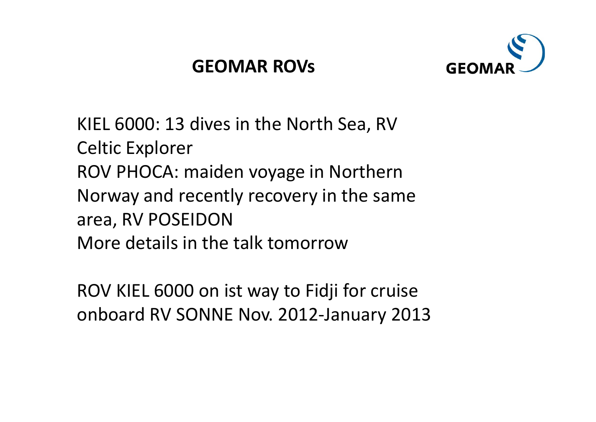

KIEL 6000: 13 dives in the North Sea, RV Celtic Explorer ROV PHOCA: maiden voyage in Northern Norway and recently recovery in the same area, RV POSEIDON More details in the talk tomorrow

ROV KIEL 6000 on ist way to Fidji for cruise onboard RV SONNE Nov. 2012‐January 2013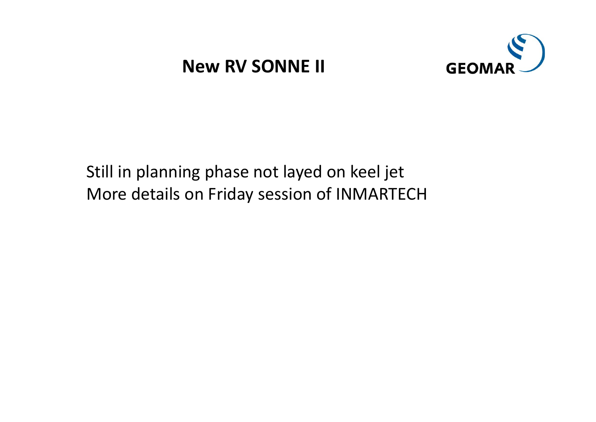# **New RV SONNE II**



Still in planning phase not layed on keel jet More details on Friday session of INMARTECH